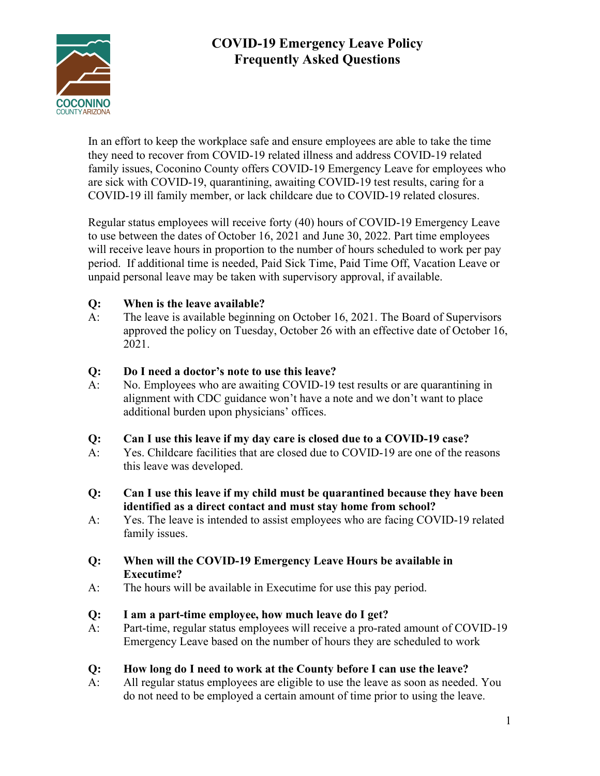

# COVID-19 Emergency Leave Policy Frequently Asked Questions

In an effort to keep the workplace safe and ensure employees are able to take the time they need to recover from COVID-19 related illness and address COVID-19 related family issues, Coconino County offers COVID-19 Emergency Leave for employees who are sick with COVID-19, quarantining, awaiting COVID-19 test results, caring for a COVID-19 ill family member, or lack childcare due to COVID-19 related closures.

Regular status employees will receive forty (40) hours of COVID-19 Emergency Leave to use between the dates of October 16, 2021 and June 30, 2022. Part time employees will receive leave hours in proportion to the number of hours scheduled to work per pay period. If additional time is needed, Paid Sick Time, Paid Time Off, Vacation Leave or unpaid personal leave may be taken with supervisory approval, if available.

## Q: When is the leave available?

A: The leave is available beginning on October 16, 2021. The Board of Supervisors approved the policy on Tuesday, October 26 with an effective date of October 16, 2021.

### Q: Do I need a doctor's note to use this leave?

A: No. Employees who are awaiting COVID-19 test results or are quarantining in alignment with CDC guidance won't have a note and we don't want to place additional burden upon physicians' offices.

### Q: Can I use this leave if my day care is closed due to a COVID-19 case?

- A: Yes. Childcare facilities that are closed due to COVID-19 are one of the reasons this leave was developed.
- Q: Can I use this leave if my child must be quarantined because they have been identified as a direct contact and must stay home from school?
- A: Yes. The leave is intended to assist employees who are facing COVID-19 related family issues.

### Q: When will the COVID-19 Emergency Leave Hours be available in Executime?

A: The hours will be available in Executime for use this pay period.

### Q: I am a part-time employee, how much leave do I get?

A: Part-time, regular status employees will receive a pro-rated amount of COVID-19 Emergency Leave based on the number of hours they are scheduled to work

### Q: How long do I need to work at the County before I can use the leave?

A: All regular status employees are eligible to use the leave as soon as needed. You do not need to be employed a certain amount of time prior to using the leave.